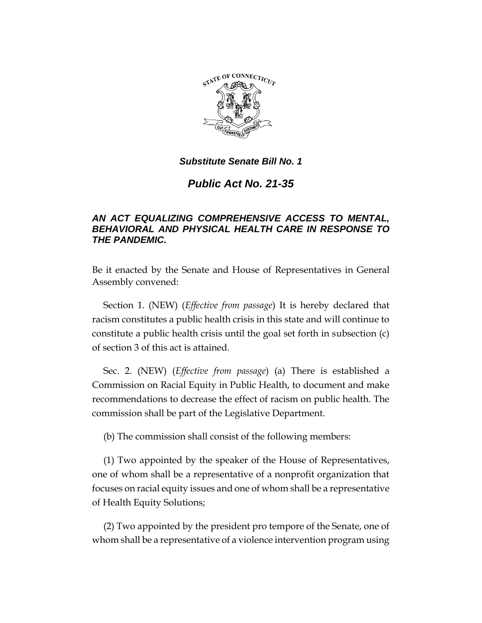

*Public Act No. 21-35*

# *AN ACT EQUALIZING COMPREHENSIVE ACCESS TO MENTAL, BEHAVIORAL AND PHYSICAL HEALTH CARE IN RESPONSE TO THE PANDEMIC.*

Be it enacted by the Senate and House of Representatives in General Assembly convened:

Section 1. (NEW) (*Effective from passage*) It is hereby declared that racism constitutes a public health crisis in this state and will continue to constitute a public health crisis until the goal set forth in subsection (c) of section 3 of this act is attained.

Sec. 2. (NEW) (*Effective from passage*) (a) There is established a Commission on Racial Equity in Public Health, to document and make recommendations to decrease the effect of racism on public health. The commission shall be part of the Legislative Department.

(b) The commission shall consist of the following members:

(1) Two appointed by the speaker of the House of Representatives, one of whom shall be a representative of a nonprofit organization that focuses on racial equity issues and one of whom shall be a representative of Health Equity Solutions;

(2) Two appointed by the president pro tempore of the Senate, one of whom shall be a representative of a violence intervention program using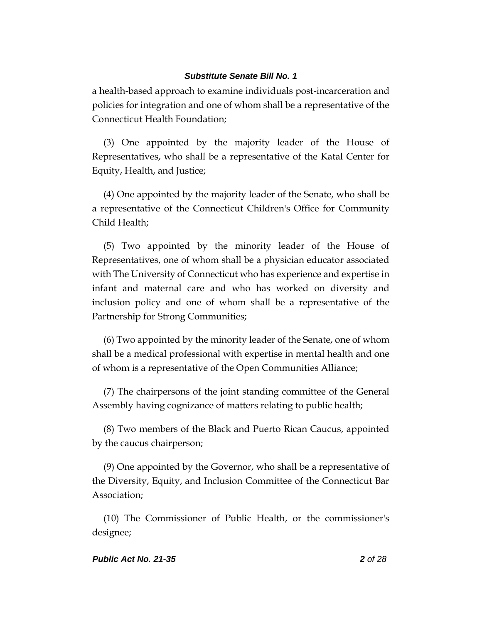a health-based approach to examine individuals post-incarceration and policies for integration and one of whom shall be a representative of the Connecticut Health Foundation;

(3) One appointed by the majority leader of the House of Representatives, who shall be a representative of the Katal Center for Equity, Health, and Justice;

(4) One appointed by the majority leader of the Senate, who shall be a representative of the Connecticut Children's Office for Community Child Health;

(5) Two appointed by the minority leader of the House of Representatives, one of whom shall be a physician educator associated with The University of Connecticut who has experience and expertise in infant and maternal care and who has worked on diversity and inclusion policy and one of whom shall be a representative of the Partnership for Strong Communities;

(6) Two appointed by the minority leader of the Senate, one of whom shall be a medical professional with expertise in mental health and one of whom is a representative of the Open Communities Alliance;

(7) The chairpersons of the joint standing committee of the General Assembly having cognizance of matters relating to public health;

(8) Two members of the Black and Puerto Rican Caucus, appointed by the caucus chairperson;

(9) One appointed by the Governor, who shall be a representative of the Diversity, Equity, and Inclusion Committee of the Connecticut Bar Association;

(10) The Commissioner of Public Health, or the commissioner's designee;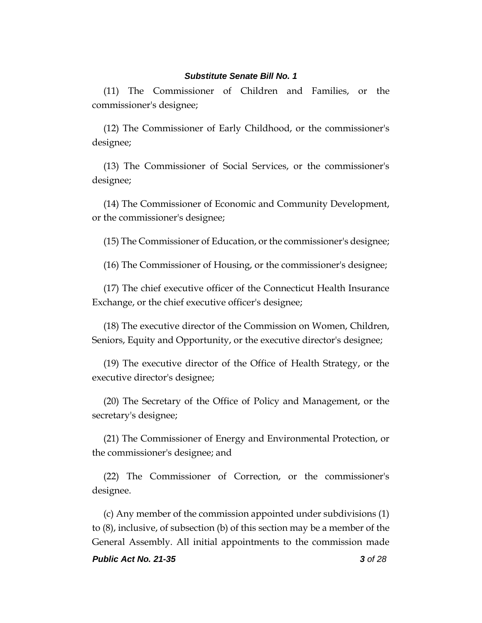(11) The Commissioner of Children and Families, or the commissioner's designee;

(12) The Commissioner of Early Childhood, or the commissioner's designee;

(13) The Commissioner of Social Services, or the commissioner's designee;

(14) The Commissioner of Economic and Community Development, or the commissioner's designee;

(15) The Commissioner of Education, or the commissioner's designee;

(16) The Commissioner of Housing, or the commissioner's designee;

(17) The chief executive officer of the Connecticut Health Insurance Exchange, or the chief executive officer's designee;

(18) The executive director of the Commission on Women, Children, Seniors, Equity and Opportunity, or the executive director's designee;

(19) The executive director of the Office of Health Strategy, or the executive director's designee;

(20) The Secretary of the Office of Policy and Management, or the secretary's designee;

(21) The Commissioner of Energy and Environmental Protection, or the commissioner's designee; and

(22) The Commissioner of Correction, or the commissioner's designee.

(c) Any member of the commission appointed under subdivisions (1) to (8), inclusive, of subsection (b) of this section may be a member of the General Assembly. All initial appointments to the commission made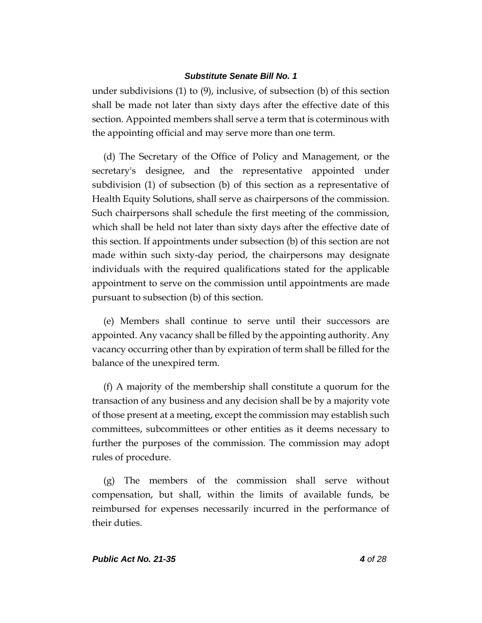under subdivisions (1) to (9), inclusive, of subsection (b) of this section shall be made not later than sixty days after the effective date of this section. Appointed members shall serve a term that is coterminous with the appointing official and may serve more than one term.

(d) The Secretary of the Office of Policy and Management, or the secretary's designee, and the representative appointed under subdivision (1) of subsection (b) of this section as a representative of Health Equity Solutions, shall serve as chairpersons of the commission. Such chairpersons shall schedule the first meeting of the commission, which shall be held not later than sixty days after the effective date of this section. If appointments under subsection (b) of this section are not made within such sixty-day period, the chairpersons may designate individuals with the required qualifications stated for the applicable appointment to serve on the commission until appointments are made pursuant to subsection (b) of this section.

(e) Members shall continue to serve until their successors are appointed. Any vacancy shall be filled by the appointing authority. Any vacancy occurring other than by expiration of term shall be filled for the balance of the unexpired term.

(f) A majority of the membership shall constitute a quorum for the transaction of any business and any decision shall be by a majority vote of those present at a meeting, except the commission may establish such committees, subcommittees or other entities as it deems necessary to further the purposes of the commission. The commission may adopt rules of procedure.

(g) The members of the commission shall serve without compensation, but shall, within the limits of available funds, be reimbursed for expenses necessarily incurred in the performance of their duties.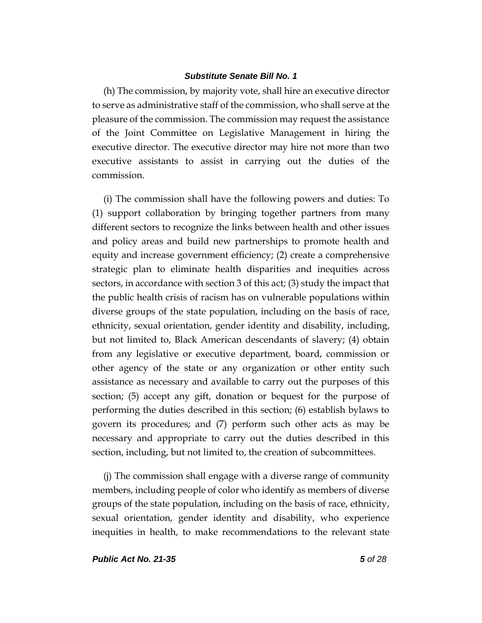(h) The commission, by majority vote, shall hire an executive director to serve as administrative staff of the commission, who shall serve at the pleasure of the commission. The commission may request the assistance of the Joint Committee on Legislative Management in hiring the executive director. The executive director may hire not more than two executive assistants to assist in carrying out the duties of the commission.

(i) The commission shall have the following powers and duties: To (1) support collaboration by bringing together partners from many different sectors to recognize the links between health and other issues and policy areas and build new partnerships to promote health and equity and increase government efficiency; (2) create a comprehensive strategic plan to eliminate health disparities and inequities across sectors, in accordance with section 3 of this act; (3) study the impact that the public health crisis of racism has on vulnerable populations within diverse groups of the state population, including on the basis of race, ethnicity, sexual orientation, gender identity and disability, including, but not limited to, Black American descendants of slavery; (4) obtain from any legislative or executive department, board, commission or other agency of the state or any organization or other entity such assistance as necessary and available to carry out the purposes of this section; (5) accept any gift, donation or bequest for the purpose of performing the duties described in this section; (6) establish bylaws to govern its procedures; and (7) perform such other acts as may be necessary and appropriate to carry out the duties described in this section, including, but not limited to, the creation of subcommittees.

(j) The commission shall engage with a diverse range of community members, including people of color who identify as members of diverse groups of the state population, including on the basis of race, ethnicity, sexual orientation, gender identity and disability, who experience inequities in health, to make recommendations to the relevant state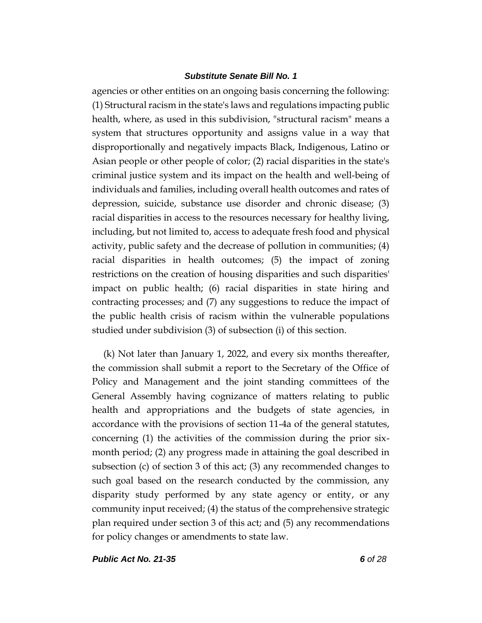agencies or other entities on an ongoing basis concerning the following: (1) Structural racism in the state's laws and regulations impacting public health, where, as used in this subdivision, "structural racism" means a system that structures opportunity and assigns value in a way that disproportionally and negatively impacts Black, Indigenous, Latino or Asian people or other people of color; (2) racial disparities in the state's criminal justice system and its impact on the health and well-being of individuals and families, including overall health outcomes and rates of depression, suicide, substance use disorder and chronic disease; (3) racial disparities in access to the resources necessary for healthy living, including, but not limited to, access to adequate fresh food and physical activity, public safety and the decrease of pollution in communities; (4) racial disparities in health outcomes; (5) the impact of zoning restrictions on the creation of housing disparities and such disparities' impact on public health; (6) racial disparities in state hiring and contracting processes; and (7) any suggestions to reduce the impact of the public health crisis of racism within the vulnerable populations studied under subdivision (3) of subsection (i) of this section.

(k) Not later than January 1, 2022, and every six months thereafter, the commission shall submit a report to the Secretary of the Office of Policy and Management and the joint standing committees of the General Assembly having cognizance of matters relating to public health and appropriations and the budgets of state agencies, in accordance with the provisions of section 11-4a of the general statutes, concerning (1) the activities of the commission during the prior sixmonth period; (2) any progress made in attaining the goal described in subsection (c) of section 3 of this act; (3) any recommended changes to such goal based on the research conducted by the commission, any disparity study performed by any state agency or entity, or any community input received; (4) the status of the comprehensive strategic plan required under section 3 of this act; and (5) any recommendations for policy changes or amendments to state law.

*Public Act No. 21-35 6 of 28*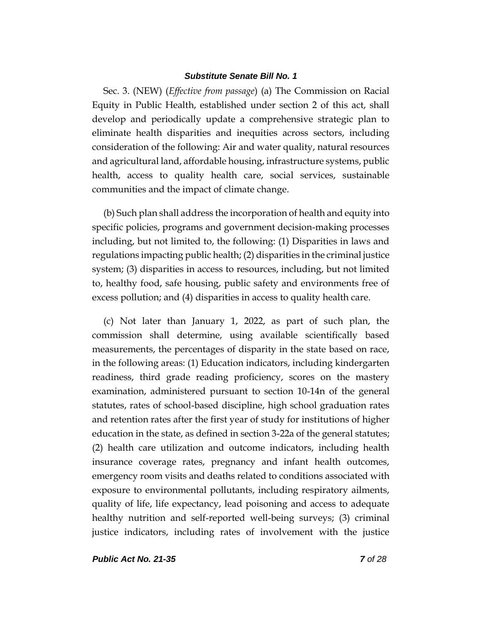Sec. 3. (NEW) (*Effective from passage*) (a) The Commission on Racial Equity in Public Health, established under section 2 of this act, shall develop and periodically update a comprehensive strategic plan to eliminate health disparities and inequities across sectors, including consideration of the following: Air and water quality, natural resources and agricultural land, affordable housing, infrastructure systems, public health, access to quality health care, social services, sustainable communities and the impact of climate change.

(b) Such plan shall address the incorporation of health and equity into specific policies, programs and government decision-making processes including, but not limited to, the following: (1) Disparities in laws and regulations impacting public health; (2) disparities in the criminal justice system; (3) disparities in access to resources, including, but not limited to, healthy food, safe housing, public safety and environments free of excess pollution; and (4) disparities in access to quality health care.

(c) Not later than January 1, 2022, as part of such plan, the commission shall determine, using available scientifically based measurements, the percentages of disparity in the state based on race, in the following areas: (1) Education indicators, including kindergarten readiness, third grade reading proficiency, scores on the mastery examination, administered pursuant to section 10-14n of the general statutes, rates of school-based discipline, high school graduation rates and retention rates after the first year of study for institutions of higher education in the state, as defined in section 3-22a of the general statutes; (2) health care utilization and outcome indicators, including health insurance coverage rates, pregnancy and infant health outcomes, emergency room visits and deaths related to conditions associated with exposure to environmental pollutants, including respiratory ailments, quality of life, life expectancy, lead poisoning and access to adequate healthy nutrition and self-reported well-being surveys; (3) criminal justice indicators, including rates of involvement with the justice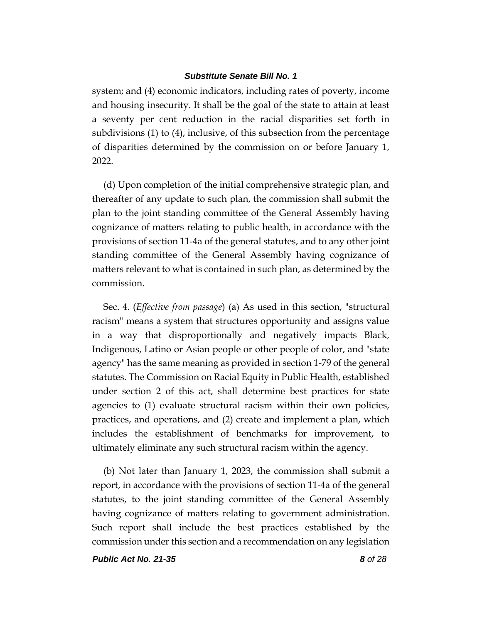system; and (4) economic indicators, including rates of poverty, income and housing insecurity. It shall be the goal of the state to attain at least a seventy per cent reduction in the racial disparities set forth in subdivisions (1) to (4), inclusive, of this subsection from the percentage of disparities determined by the commission on or before January 1, 2022.

(d) Upon completion of the initial comprehensive strategic plan, and thereafter of any update to such plan, the commission shall submit the plan to the joint standing committee of the General Assembly having cognizance of matters relating to public health, in accordance with the provisions of section 11-4a of the general statutes, and to any other joint standing committee of the General Assembly having cognizance of matters relevant to what is contained in such plan, as determined by the commission.

Sec. 4. (*Effective from passage*) (a) As used in this section, "structural racism" means a system that structures opportunity and assigns value in a way that disproportionally and negatively impacts Black, Indigenous, Latino or Asian people or other people of color, and "state agency" has the same meaning as provided in section 1-79 of the general statutes. The Commission on Racial Equity in Public Health, established under section 2 of this act, shall determine best practices for state agencies to (1) evaluate structural racism within their own policies, practices, and operations, and (2) create and implement a plan, which includes the establishment of benchmarks for improvement, to ultimately eliminate any such structural racism within the agency.

(b) Not later than January 1, 2023, the commission shall submit a report, in accordance with the provisions of section 11-4a of the general statutes, to the joint standing committee of the General Assembly having cognizance of matters relating to government administration. Such report shall include the best practices established by the commission under this section and a recommendation on any legislation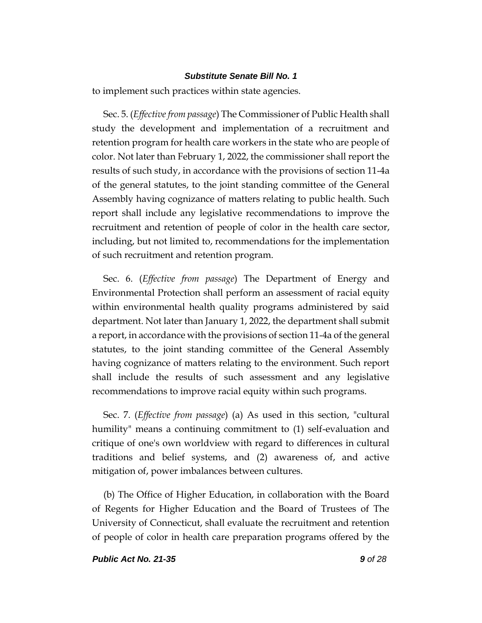to implement such practices within state agencies.

Sec. 5. (*Effective from passage*) The Commissioner of Public Health shall study the development and implementation of a recruitment and retention program for health care workers in the state who are people of color. Not later than February 1, 2022, the commissioner shall report the results of such study, in accordance with the provisions of section 11-4a of the general statutes, to the joint standing committee of the General Assembly having cognizance of matters relating to public health. Such report shall include any legislative recommendations to improve the recruitment and retention of people of color in the health care sector, including, but not limited to, recommendations for the implementation of such recruitment and retention program.

Sec. 6. (*Effective from passage*) The Department of Energy and Environmental Protection shall perform an assessment of racial equity within environmental health quality programs administered by said department. Not later than January 1, 2022, the department shall submit a report, in accordance with the provisions of section 11-4a of the general statutes, to the joint standing committee of the General Assembly having cognizance of matters relating to the environment. Such report shall include the results of such assessment and any legislative recommendations to improve racial equity within such programs.

Sec. 7. (*Effective from passage*) (a) As used in this section, "cultural humility" means a continuing commitment to (1) self-evaluation and critique of one's own worldview with regard to differences in cultural traditions and belief systems, and (2) awareness of, and active mitigation of, power imbalances between cultures.

(b) The Office of Higher Education, in collaboration with the Board of Regents for Higher Education and the Board of Trustees of The University of Connecticut, shall evaluate the recruitment and retention of people of color in health care preparation programs offered by the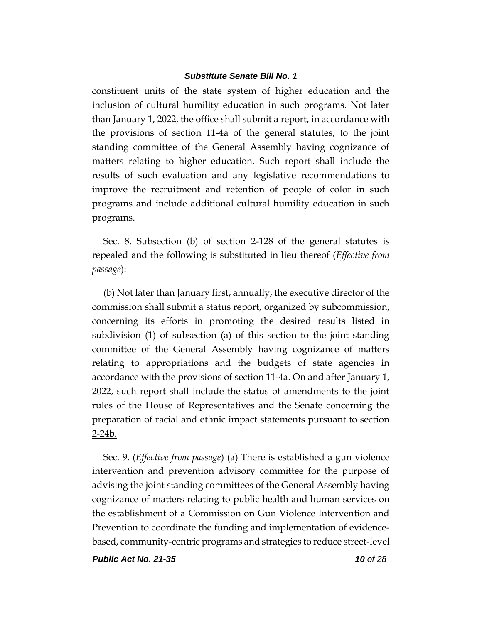constituent units of the state system of higher education and the inclusion of cultural humility education in such programs. Not later than January 1, 2022, the office shall submit a report, in accordance with the provisions of section 11-4a of the general statutes, to the joint standing committee of the General Assembly having cognizance of matters relating to higher education. Such report shall include the results of such evaluation and any legislative recommendations to improve the recruitment and retention of people of color in such programs and include additional cultural humility education in such programs.

Sec. 8. Subsection (b) of section 2-128 of the general statutes is repealed and the following is substituted in lieu thereof (*Effective from passage*):

(b) Not later than January first, annually, the executive director of the commission shall submit a status report, organized by subcommission, concerning its efforts in promoting the desired results listed in subdivision (1) of subsection (a) of this section to the joint standing committee of the General Assembly having cognizance of matters relating to appropriations and the budgets of state agencies in accordance with the provisions of section 11-4a. On and after January 1, 2022, such report shall include the status of amendments to the joint rules of the House of Representatives and the Senate concerning the preparation of racial and ethnic impact statements pursuant to section 2-24b.

Sec. 9. (*Effective from passage*) (a) There is established a gun violence intervention and prevention advisory committee for the purpose of advising the joint standing committees of the General Assembly having cognizance of matters relating to public health and human services on the establishment of a Commission on Gun Violence Intervention and Prevention to coordinate the funding and implementation of evidencebased, community-centric programs and strategies to reduce street-level

*Public Act No. 21-35 10 of 28*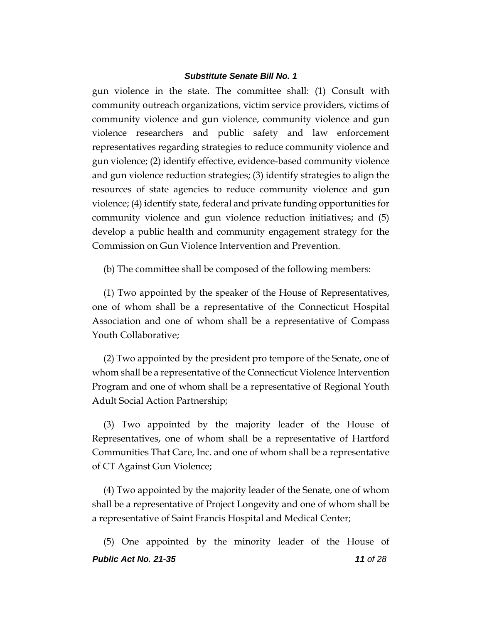gun violence in the state. The committee shall: (1) Consult with community outreach organizations, victim service providers, victims of community violence and gun violence, community violence and gun violence researchers and public safety and law enforcement representatives regarding strategies to reduce community violence and gun violence; (2) identify effective, evidence-based community violence and gun violence reduction strategies; (3) identify strategies to align the resources of state agencies to reduce community violence and gun violence; (4) identify state, federal and private funding opportunities for community violence and gun violence reduction initiatives; and (5) develop a public health and community engagement strategy for the Commission on Gun Violence Intervention and Prevention.

(b) The committee shall be composed of the following members:

(1) Two appointed by the speaker of the House of Representatives, one of whom shall be a representative of the Connecticut Hospital Association and one of whom shall be a representative of Compass Youth Collaborative;

(2) Two appointed by the president pro tempore of the Senate, one of whom shall be a representative of the Connecticut Violence Intervention Program and one of whom shall be a representative of Regional Youth Adult Social Action Partnership;

(3) Two appointed by the majority leader of the House of Representatives, one of whom shall be a representative of Hartford Communities That Care, Inc. and one of whom shall be a representative of CT Against Gun Violence;

(4) Two appointed by the majority leader of the Senate, one of whom shall be a representative of Project Longevity and one of whom shall be a representative of Saint Francis Hospital and Medical Center;

*Public Act No. 21-35 11 of 28* (5) One appointed by the minority leader of the House of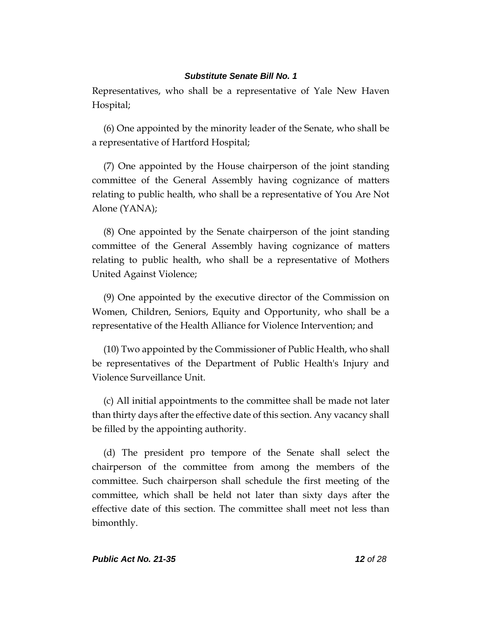Representatives, who shall be a representative of Yale New Haven Hospital;

(6) One appointed by the minority leader of the Senate, who shall be a representative of Hartford Hospital;

(7) One appointed by the House chairperson of the joint standing committee of the General Assembly having cognizance of matters relating to public health, who shall be a representative of You Are Not Alone (YANA);

(8) One appointed by the Senate chairperson of the joint standing committee of the General Assembly having cognizance of matters relating to public health, who shall be a representative of Mothers United Against Violence;

(9) One appointed by the executive director of the Commission on Women, Children, Seniors, Equity and Opportunity, who shall be a representative of the Health Alliance for Violence Intervention; and

(10) Two appointed by the Commissioner of Public Health, who shall be representatives of the Department of Public Health's Injury and Violence Surveillance Unit.

(c) All initial appointments to the committee shall be made not later than thirty days after the effective date of this section. Any vacancy shall be filled by the appointing authority.

(d) The president pro tempore of the Senate shall select the chairperson of the committee from among the members of the committee. Such chairperson shall schedule the first meeting of the committee, which shall be held not later than sixty days after the effective date of this section. The committee shall meet not less than bimonthly.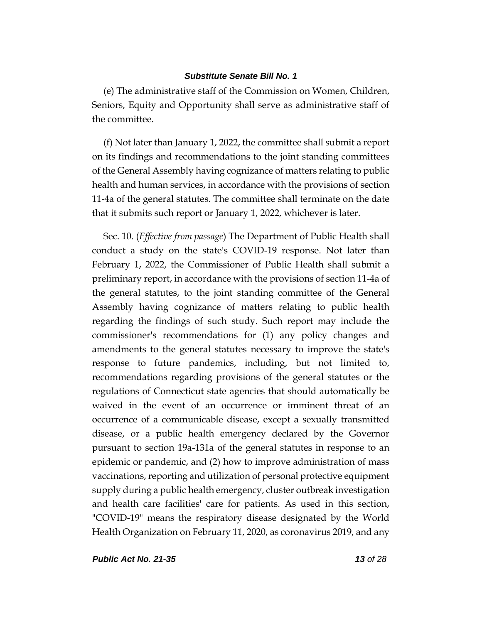(e) The administrative staff of the Commission on Women, Children, Seniors, Equity and Opportunity shall serve as administrative staff of the committee.

(f) Not later than January 1, 2022, the committee shall submit a report on its findings and recommendations to the joint standing committees of the General Assembly having cognizance of matters relating to public health and human services, in accordance with the provisions of section 11-4a of the general statutes. The committee shall terminate on the date that it submits such report or January 1, 2022, whichever is later.

Sec. 10. (*Effective from passage*) The Department of Public Health shall conduct a study on the state's COVID-19 response. Not later than February 1, 2022, the Commissioner of Public Health shall submit a preliminary report, in accordance with the provisions of section 11-4a of the general statutes, to the joint standing committee of the General Assembly having cognizance of matters relating to public health regarding the findings of such study. Such report may include the commissioner's recommendations for (1) any policy changes and amendments to the general statutes necessary to improve the state's response to future pandemics, including, but not limited to, recommendations regarding provisions of the general statutes or the regulations of Connecticut state agencies that should automatically be waived in the event of an occurrence or imminent threat of an occurrence of a communicable disease, except a sexually transmitted disease, or a public health emergency declared by the Governor pursuant to section 19a-131a of the general statutes in response to an epidemic or pandemic, and (2) how to improve administration of mass vaccinations, reporting and utilization of personal protective equipment supply during a public health emergency, cluster outbreak investigation and health care facilities' care for patients. As used in this section, "COVID-19" means the respiratory disease designated by the World Health Organization on February 11, 2020, as coronavirus 2019, and any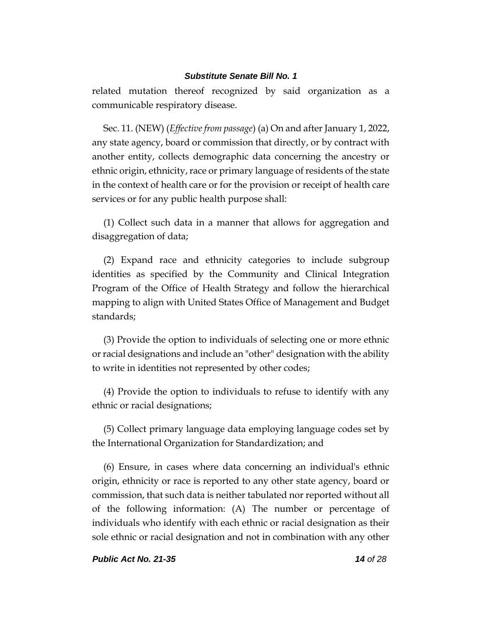related mutation thereof recognized by said organization as a communicable respiratory disease.

Sec. 11. (NEW) (*Effective from passage*) (a) On and after January 1, 2022, any state agency, board or commission that directly, or by contract with another entity, collects demographic data concerning the ancestry or ethnic origin, ethnicity, race or primary language of residents of the state in the context of health care or for the provision or receipt of health care services or for any public health purpose shall:

(1) Collect such data in a manner that allows for aggregation and disaggregation of data;

(2) Expand race and ethnicity categories to include subgroup identities as specified by the Community and Clinical Integration Program of the Office of Health Strategy and follow the hierarchical mapping to align with United States Office of Management and Budget standards;

(3) Provide the option to individuals of selecting one or more ethnic or racial designations and include an "other" designation with the ability to write in identities not represented by other codes;

(4) Provide the option to individuals to refuse to identify with any ethnic or racial designations;

(5) Collect primary language data employing language codes set by the International Organization for Standardization; and

(6) Ensure, in cases where data concerning an individual's ethnic origin, ethnicity or race is reported to any other state agency, board or commission, that such data is neither tabulated nor reported without all of the following information: (A) The number or percentage of individuals who identify with each ethnic or racial designation as their sole ethnic or racial designation and not in combination with any other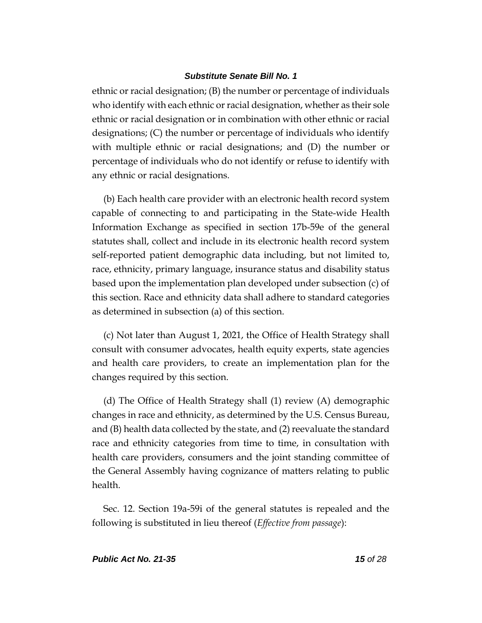ethnic or racial designation; (B) the number or percentage of individuals who identify with each ethnic or racial designation, whether as their sole ethnic or racial designation or in combination with other ethnic or racial designations; (C) the number or percentage of individuals who identify with multiple ethnic or racial designations; and (D) the number or percentage of individuals who do not identify or refuse to identify with any ethnic or racial designations.

(b) Each health care provider with an electronic health record system capable of connecting to and participating in the State-wide Health Information Exchange as specified in section 17b-59e of the general statutes shall, collect and include in its electronic health record system self-reported patient demographic data including, but not limited to, race, ethnicity, primary language, insurance status and disability status based upon the implementation plan developed under subsection (c) of this section. Race and ethnicity data shall adhere to standard categories as determined in subsection (a) of this section.

(c) Not later than August 1, 2021, the Office of Health Strategy shall consult with consumer advocates, health equity experts, state agencies and health care providers, to create an implementation plan for the changes required by this section.

(d) The Office of Health Strategy shall (1) review (A) demographic changes in race and ethnicity, as determined by the U.S. Census Bureau, and (B) health data collected by the state, and (2) reevaluate the standard race and ethnicity categories from time to time, in consultation with health care providers, consumers and the joint standing committee of the General Assembly having cognizance of matters relating to public health.

Sec. 12. Section 19a-59i of the general statutes is repealed and the following is substituted in lieu thereof (*Effective from passage*):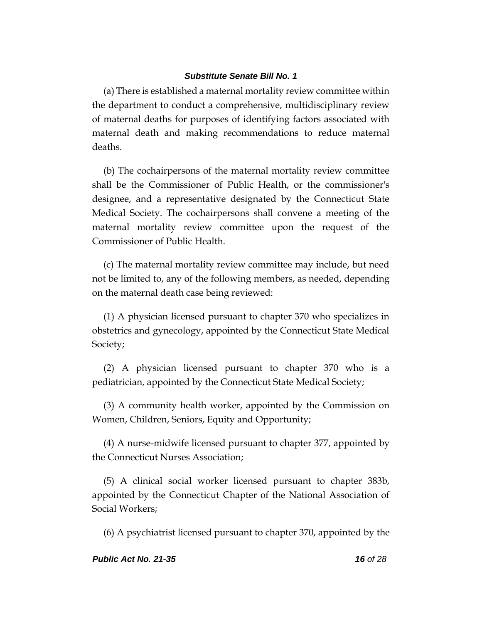(a) There is established a maternal mortality review committee within the department to conduct a comprehensive, multidisciplinary review of maternal deaths for purposes of identifying factors associated with maternal death and making recommendations to reduce maternal deaths.

(b) The cochairpersons of the maternal mortality review committee shall be the Commissioner of Public Health, or the commissioner's designee, and a representative designated by the Connecticut State Medical Society. The cochairpersons shall convene a meeting of the maternal mortality review committee upon the request of the Commissioner of Public Health.

(c) The maternal mortality review committee may include, but need not be limited to, any of the following members, as needed, depending on the maternal death case being reviewed:

(1) A physician licensed pursuant to chapter 370 who specializes in obstetrics and gynecology, appointed by the Connecticut State Medical Society;

(2) A physician licensed pursuant to chapter 370 who is a pediatrician, appointed by the Connecticut State Medical Society;

(3) A community health worker, appointed by the Commission on Women, Children, Seniors, Equity and Opportunity;

(4) A nurse-midwife licensed pursuant to chapter 377, appointed by the Connecticut Nurses Association;

(5) A clinical social worker licensed pursuant to chapter 383b, appointed by the Connecticut Chapter of the National Association of Social Workers;

(6) A psychiatrist licensed pursuant to chapter 370, appointed by the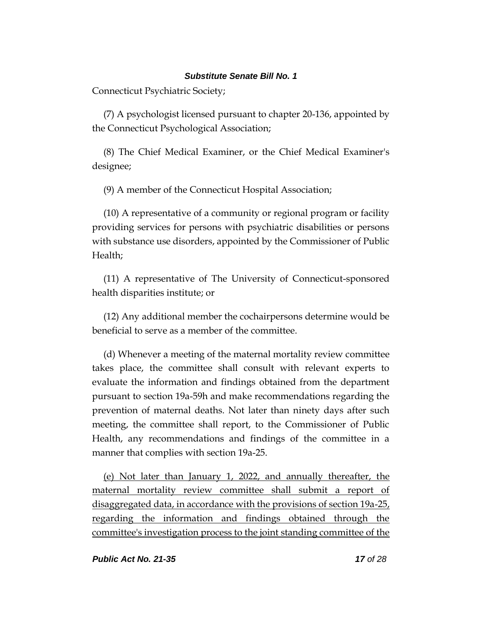Connecticut Psychiatric Society;

(7) A psychologist licensed pursuant to chapter 20-136, appointed by the Connecticut Psychological Association;

(8) The Chief Medical Examiner, or the Chief Medical Examiner's designee;

(9) A member of the Connecticut Hospital Association;

(10) A representative of a community or regional program or facility providing services for persons with psychiatric disabilities or persons with substance use disorders, appointed by the Commissioner of Public Health;

(11) A representative of The University of Connecticut-sponsored health disparities institute; or

(12) Any additional member the cochairpersons determine would be beneficial to serve as a member of the committee.

(d) Whenever a meeting of the maternal mortality review committee takes place, the committee shall consult with relevant experts to evaluate the information and findings obtained from the department pursuant to section 19a-59h and make recommendations regarding the prevention of maternal deaths. Not later than ninety days after such meeting, the committee shall report, to the Commissioner of Public Health, any recommendations and findings of the committee in a manner that complies with section 19a-25.

(e) Not later than January 1, 2022, and annually thereafter, the maternal mortality review committee shall submit a report of disaggregated data, in accordance with the provisions of section 19a-25, regarding the information and findings obtained through the committee's investigation process to the joint standing committee of the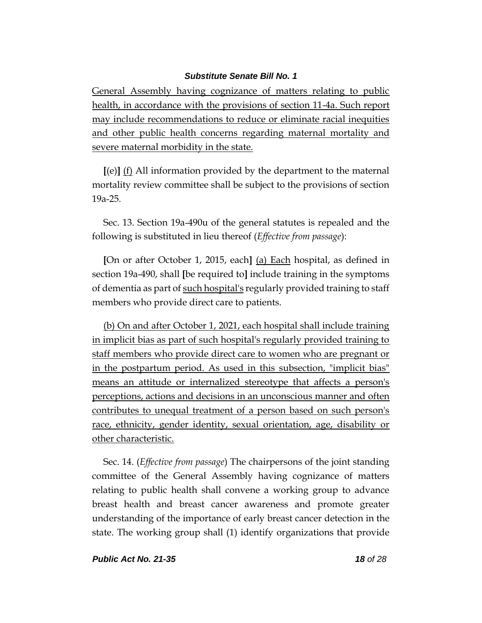General Assembly having cognizance of matters relating to public health, in accordance with the provisions of section 11-4a. Such report may include recommendations to reduce or eliminate racial inequities and other public health concerns regarding maternal mortality and severe maternal morbidity in the state.

**[**(e)**]** (f) All information provided by the department to the maternal mortality review committee shall be subject to the provisions of section 19a-25.

Sec. 13. Section 19a-490u of the general statutes is repealed and the following is substituted in lieu thereof (*Effective from passage*):

**[**On or after October 1, 2015, each**]** (a) Each hospital, as defined in section 19a-490, shall **[**be required to**]** include training in the symptoms of dementia as part of such hospital's regularly provided training to staff members who provide direct care to patients.

(b) On and after October 1, 2021, each hospital shall include training in implicit bias as part of such hospital's regularly provided training to staff members who provide direct care to women who are pregnant or in the postpartum period. As used in this subsection, "implicit bias" means an attitude or internalized stereotype that affects a person's perceptions, actions and decisions in an unconscious manner and often contributes to unequal treatment of a person based on such person's race, ethnicity, gender identity, sexual orientation, age, disability or other characteristic.

Sec. 14. (*Effective from passage*) The chairpersons of the joint standing committee of the General Assembly having cognizance of matters relating to public health shall convene a working group to advance breast health and breast cancer awareness and promote greater understanding of the importance of early breast cancer detection in the state. The working group shall (1) identify organizations that provide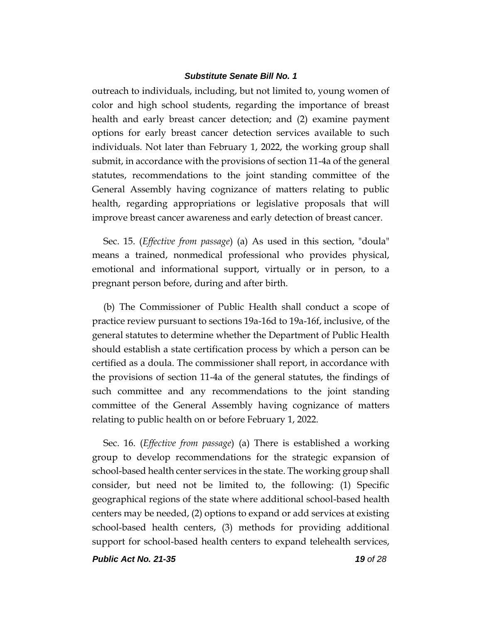outreach to individuals, including, but not limited to, young women of color and high school students, regarding the importance of breast health and early breast cancer detection; and (2) examine payment options for early breast cancer detection services available to such individuals. Not later than February 1, 2022, the working group shall submit, in accordance with the provisions of section 11-4a of the general statutes, recommendations to the joint standing committee of the General Assembly having cognizance of matters relating to public health, regarding appropriations or legislative proposals that will improve breast cancer awareness and early detection of breast cancer.

Sec. 15. (*Effective from passage*) (a) As used in this section, "doula" means a trained, nonmedical professional who provides physical, emotional and informational support, virtually or in person, to a pregnant person before, during and after birth.

(b) The Commissioner of Public Health shall conduct a scope of practice review pursuant to sections 19a-16d to 19a-16f, inclusive, of the general statutes to determine whether the Department of Public Health should establish a state certification process by which a person can be certified as a doula. The commissioner shall report, in accordance with the provisions of section 11-4a of the general statutes, the findings of such committee and any recommendations to the joint standing committee of the General Assembly having cognizance of matters relating to public health on or before February 1, 2022.

Sec. 16. (*Effective from passage*) (a) There is established a working group to develop recommendations for the strategic expansion of school-based health center services in the state. The working group shall consider, but need not be limited to, the following: (1) Specific geographical regions of the state where additional school-based health centers may be needed, (2) options to expand or add services at existing school-based health centers, (3) methods for providing additional support for school-based health centers to expand telehealth services,

*Public Act No. 21-35 19 of 28*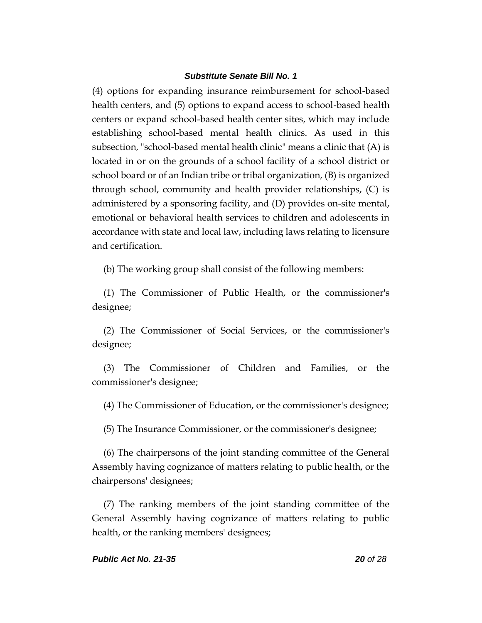(4) options for expanding insurance reimbursement for school-based health centers, and (5) options to expand access to school-based health centers or expand school-based health center sites, which may include establishing school-based mental health clinics. As used in this subsection, "school-based mental health clinic" means a clinic that (A) is located in or on the grounds of a school facility of a school district or school board or of an Indian tribe or tribal organization, (B) is organized through school, community and health provider relationships, (C) is administered by a sponsoring facility, and (D) provides on-site mental, emotional or behavioral health services to children and adolescents in accordance with state and local law, including laws relating to licensure and certification.

(b) The working group shall consist of the following members:

(1) The Commissioner of Public Health, or the commissioner's designee;

(2) The Commissioner of Social Services, or the commissioner's designee;

(3) The Commissioner of Children and Families, or the commissioner's designee;

(4) The Commissioner of Education, or the commissioner's designee;

(5) The Insurance Commissioner, or the commissioner's designee;

(6) The chairpersons of the joint standing committee of the General Assembly having cognizance of matters relating to public health, or the chairpersons' designees;

(7) The ranking members of the joint standing committee of the General Assembly having cognizance of matters relating to public health, or the ranking members' designees;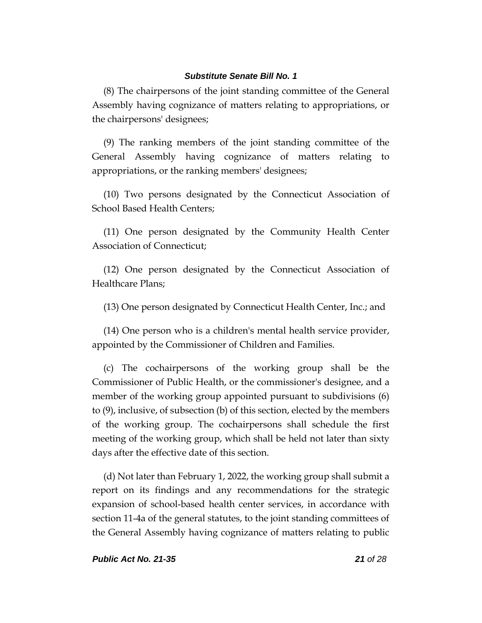(8) The chairpersons of the joint standing committee of the General Assembly having cognizance of matters relating to appropriations, or the chairpersons' designees;

(9) The ranking members of the joint standing committee of the General Assembly having cognizance of matters relating to appropriations, or the ranking members' designees;

(10) Two persons designated by the Connecticut Association of School Based Health Centers;

(11) One person designated by the Community Health Center Association of Connecticut;

(12) One person designated by the Connecticut Association of Healthcare Plans;

(13) One person designated by Connecticut Health Center, Inc.; and

(14) One person who is a children's mental health service provider, appointed by the Commissioner of Children and Families.

(c) The cochairpersons of the working group shall be the Commissioner of Public Health, or the commissioner's designee, and a member of the working group appointed pursuant to subdivisions (6) to (9), inclusive, of subsection (b) of this section, elected by the members of the working group. The cochairpersons shall schedule the first meeting of the working group, which shall be held not later than sixty days after the effective date of this section.

(d) Not later than February 1, 2022, the working group shall submit a report on its findings and any recommendations for the strategic expansion of school-based health center services, in accordance with section 11-4a of the general statutes, to the joint standing committees of the General Assembly having cognizance of matters relating to public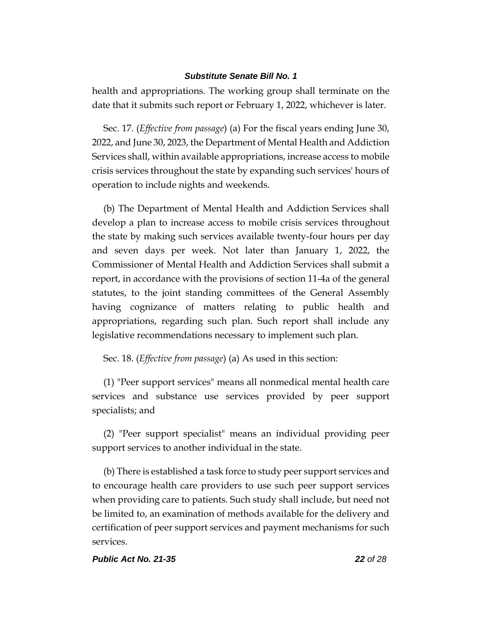health and appropriations. The working group shall terminate on the date that it submits such report or February 1, 2022, whichever is later.

Sec. 17. (*Effective from passage*) (a) For the fiscal years ending June 30, 2022, and June 30, 2023, the Department of Mental Health and Addiction Services shall, within available appropriations, increase access to mobile crisis services throughout the state by expanding such services' hours of operation to include nights and weekends.

(b) The Department of Mental Health and Addiction Services shall develop a plan to increase access to mobile crisis services throughout the state by making such services available twenty-four hours per day and seven days per week. Not later than January 1, 2022, the Commissioner of Mental Health and Addiction Services shall submit a report, in accordance with the provisions of section 11-4a of the general statutes, to the joint standing committees of the General Assembly having cognizance of matters relating to public health and appropriations, regarding such plan. Such report shall include any legislative recommendations necessary to implement such plan.

# Sec. 18. (*Effective from passage*) (a) As used in this section:

(1) "Peer support services" means all nonmedical mental health care services and substance use services provided by peer support specialists; and

(2) "Peer support specialist" means an individual providing peer support services to another individual in the state.

(b) There is established a task force to study peer support services and to encourage health care providers to use such peer support services when providing care to patients. Such study shall include, but need not be limited to, an examination of methods available for the delivery and certification of peer support services and payment mechanisms for such services.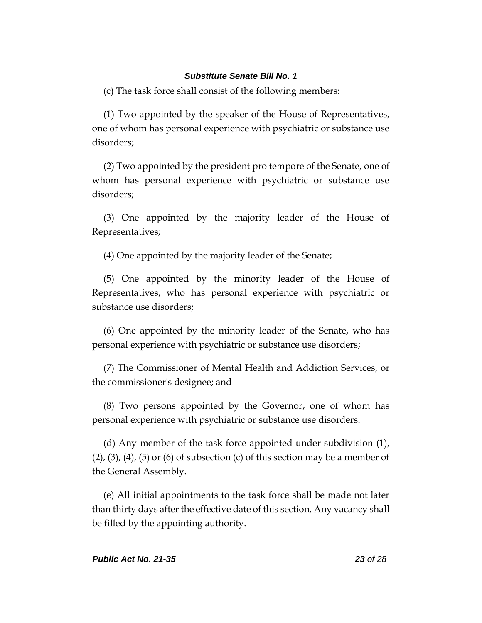(c) The task force shall consist of the following members:

(1) Two appointed by the speaker of the House of Representatives, one of whom has personal experience with psychiatric or substance use disorders;

(2) Two appointed by the president pro tempore of the Senate, one of whom has personal experience with psychiatric or substance use disorders;

(3) One appointed by the majority leader of the House of Representatives;

(4) One appointed by the majority leader of the Senate;

(5) One appointed by the minority leader of the House of Representatives, who has personal experience with psychiatric or substance use disorders;

(6) One appointed by the minority leader of the Senate, who has personal experience with psychiatric or substance use disorders;

(7) The Commissioner of Mental Health and Addiction Services, or the commissioner's designee; and

(8) Two persons appointed by the Governor, one of whom has personal experience with psychiatric or substance use disorders.

(d) Any member of the task force appointed under subdivision (1),  $(2)$ ,  $(3)$ ,  $(4)$ ,  $(5)$  or  $(6)$  of subsection  $(c)$  of this section may be a member of the General Assembly.

(e) All initial appointments to the task force shall be made not later than thirty days after the effective date of this section. Any vacancy shall be filled by the appointing authority.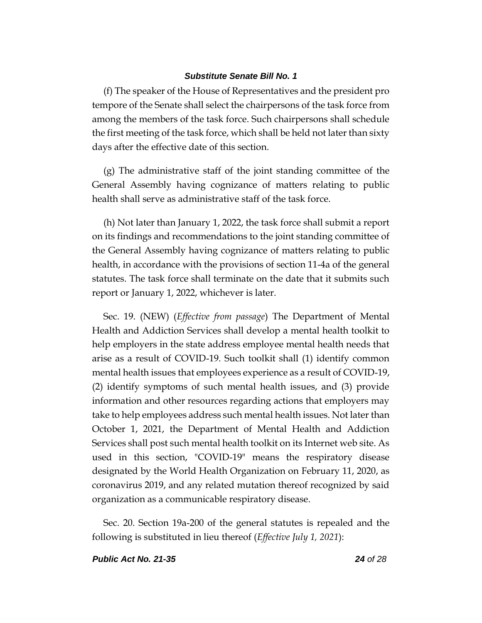(f) The speaker of the House of Representatives and the president pro tempore of the Senate shall select the chairpersons of the task force from among the members of the task force. Such chairpersons shall schedule the first meeting of the task force, which shall be held not later than sixty days after the effective date of this section.

(g) The administrative staff of the joint standing committee of the General Assembly having cognizance of matters relating to public health shall serve as administrative staff of the task force.

(h) Not later than January 1, 2022, the task force shall submit a report on its findings and recommendations to the joint standing committee of the General Assembly having cognizance of matters relating to public health, in accordance with the provisions of section 11-4a of the general statutes. The task force shall terminate on the date that it submits such report or January 1, 2022, whichever is later.

Sec. 19. (NEW) (*Effective from passage*) The Department of Mental Health and Addiction Services shall develop a mental health toolkit to help employers in the state address employee mental health needs that arise as a result of COVID-19. Such toolkit shall (1) identify common mental health issues that employees experience as a result of COVID-19, (2) identify symptoms of such mental health issues, and (3) provide information and other resources regarding actions that employers may take to help employees address such mental health issues. Not later than October 1, 2021, the Department of Mental Health and Addiction Services shall post such mental health toolkit on its Internet web site. As used in this section, "COVID-19" means the respiratory disease designated by the World Health Organization on February 11, 2020, as coronavirus 2019, and any related mutation thereof recognized by said organization as a communicable respiratory disease.

Sec. 20. Section 19a-200 of the general statutes is repealed and the following is substituted in lieu thereof (*Effective July 1, 2021*):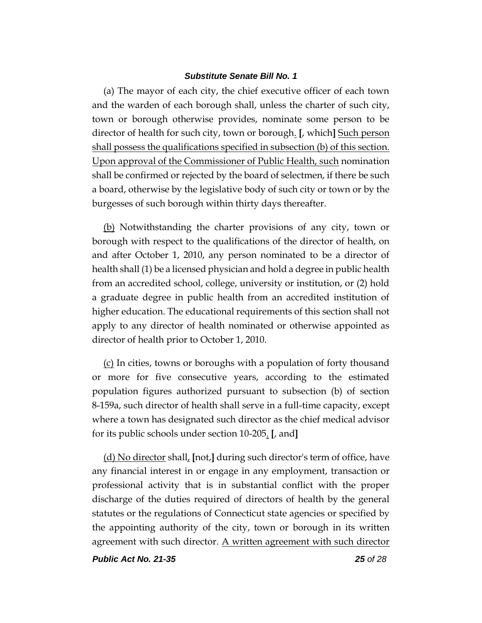(a) The mayor of each city, the chief executive officer of each town and the warden of each borough shall, unless the charter of such city, town or borough otherwise provides, nominate some person to be director of health for such city, town or borough. **[**, which**]** Such person shall possess the qualifications specified in subsection (b) of this section. Upon approval of the Commissioner of Public Health, such nomination shall be confirmed or rejected by the board of selectmen, if there be such a board, otherwise by the legislative body of such city or town or by the burgesses of such borough within thirty days thereafter.

(b) Notwithstanding the charter provisions of any city, town or borough with respect to the qualifications of the director of health, on and after October 1, 2010, any person nominated to be a director of health shall (1) be a licensed physician and hold a degree in public health from an accredited school, college, university or institution, or (2) hold a graduate degree in public health from an accredited institution of higher education. The educational requirements of this section shall not apply to any director of health nominated or otherwise appointed as director of health prior to October 1, 2010.

(c) In cities, towns or boroughs with a population of forty thousand or more for five consecutive years, according to the estimated population figures authorized pursuant to subsection (b) of section 8-159a, such director of health shall serve in a full-time capacity, except where a town has designated such director as the chief medical advisor for its public schools under section 10-205. **[**, and**]**

(d) No director shall, **[**not,**]** during such director's term of office, have any financial interest in or engage in any employment, transaction or professional activity that is in substantial conflict with the proper discharge of the duties required of directors of health by the general statutes or the regulations of Connecticut state agencies or specified by the appointing authority of the city, town or borough in its written agreement with such director. A written agreement with such director

*Public Act No. 21-35 25 of 28*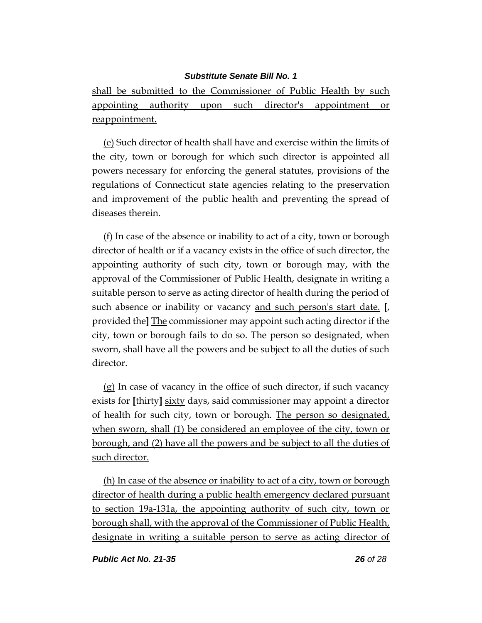shall be submitted to the Commissioner of Public Health by such appointing authority upon such director's appointment or reappointment.

(e) Such director of health shall have and exercise within the limits of the city, town or borough for which such director is appointed all powers necessary for enforcing the general statutes, provisions of the regulations of Connecticut state agencies relating to the preservation and improvement of the public health and preventing the spread of diseases therein.

 $(f)$  In case of the absence or inability to act of a city, town or borough director of health or if a vacancy exists in the office of such director, the appointing authority of such city, town or borough may, with the approval of the Commissioner of Public Health, designate in writing a suitable person to serve as acting director of health during the period of such absence or inability or vacancy and such person's start date. **[**, provided the**]** The commissioner may appoint such acting director if the city, town or borough fails to do so. The person so designated, when sworn, shall have all the powers and be subject to all the duties of such director.

(g) In case of vacancy in the office of such director, if such vacancy exists for **[**thirty**]** sixty days, said commissioner may appoint a director of health for such city, town or borough. The person so designated, when sworn, shall (1) be considered an employee of the city, town or borough, and (2) have all the powers and be subject to all the duties of such director.

(h) In case of the absence or inability to act of a city, town or borough director of health during a public health emergency declared pursuant to section 19a-131a, the appointing authority of such city, town or borough shall, with the approval of the Commissioner of Public Health, designate in writing a suitable person to serve as acting director of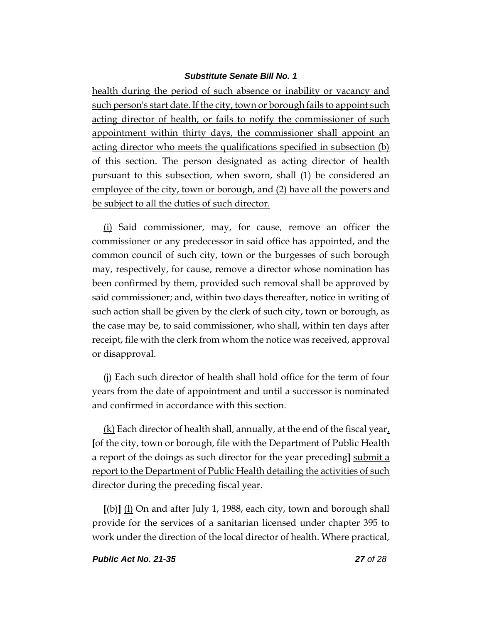health during the period of such absence or inability or vacancy and such person's start date. If the city, town or borough fails to appoint such acting director of health, or fails to notify the commissioner of such appointment within thirty days, the commissioner shall appoint an acting director who meets the qualifications specified in subsection (b) of this section. The person designated as acting director of health pursuant to this subsection, when sworn, shall (1) be considered an employee of the city, town or borough, and (2) have all the powers and be subject to all the duties of such director.

(i) Said commissioner, may, for cause, remove an officer the commissioner or any predecessor in said office has appointed, and the common council of such city, town or the burgesses of such borough may, respectively, for cause, remove a director whose nomination has been confirmed by them, provided such removal shall be approved by said commissioner; and, within two days thereafter, notice in writing of such action shall be given by the clerk of such city, town or borough, as the case may be, to said commissioner, who shall, within ten days after receipt, file with the clerk from whom the notice was received, approval or disapproval.

(j) Each such director of health shall hold office for the term of four years from the date of appointment and until a successor is nominated and confirmed in accordance with this section.

(k) Each director of health shall, annually, at the end of the fiscal year, **[**of the city, town or borough, file with the Department of Public Health a report of the doings as such director for the year preceding**]** submit a report to the Department of Public Health detailing the activities of such director during the preceding fiscal year.

**[**(b)**]** (l) On and after July 1, 1988, each city, town and borough shall provide for the services of a sanitarian licensed under chapter 395 to work under the direction of the local director of health. Where practical,